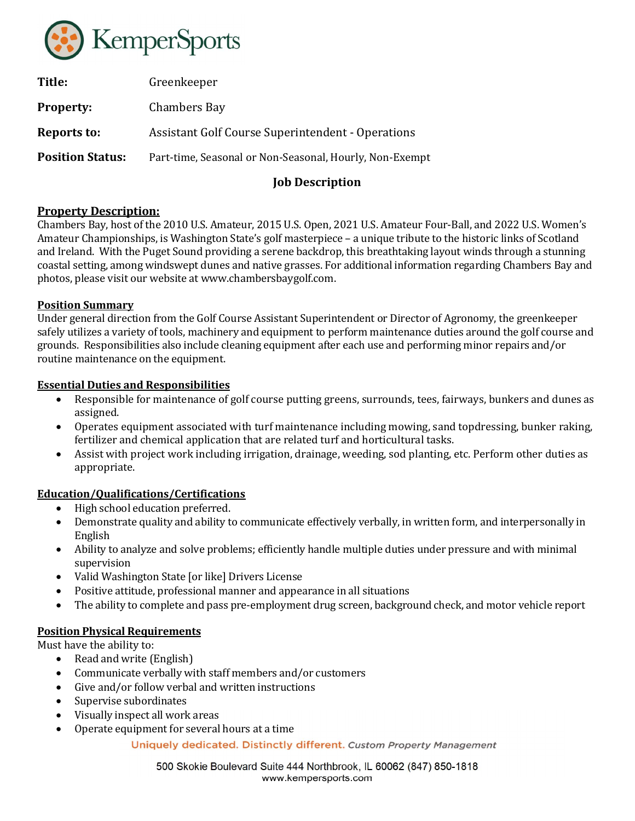

| Title:                  | Greenkeeper                                              |
|-------------------------|----------------------------------------------------------|
| <b>Property:</b>        | Chambers Bay                                             |
| Reports to:             | <b>Assistant Golf Course Superintendent - Operations</b> |
| <b>Position Status:</b> | Part-time, Seasonal or Non-Seasonal, Hourly, Non-Exempt  |
|                         |                                                          |

# Job Description

## Property Description:

Chambers Bay, host of the 2010 U.S. Amateur, 2015 U.S. Open, 2021 U.S. Amateur Four-Ball, and 2022 U.S. Women's Amateur Championships, is Washington State's golf masterpiece – a unique tribute to the historic links of Scotland and Ireland. With the Puget Sound providing a serene backdrop, this breathtaking layout winds through a stunning coastal setting, among windswept dunes and native grasses. For additional information regarding Chambers Bay and photos, please visit our website at www.chambersbaygolf.com.

### Position Summary

Under general direction from the Golf Course Assistant Superintendent or Director of Agronomy, the greenkeeper safely utilizes a variety of tools, machinery and equipment to perform maintenance duties around the golf course and grounds. Responsibilities also include cleaning equipment after each use and performing minor repairs and/or routine maintenance on the equipment.

### Essential Duties and Responsibilities

- Responsible for maintenance of golf course putting greens, surrounds, tees, fairways, bunkers and dunes as assigned.
- Operates equipment associated with turf maintenance including mowing, sand topdressing, bunker raking, fertilizer and chemical application that are related turf and horticultural tasks.
- Assist with project work including irrigation, drainage, weeding, sod planting, etc. Perform other duties as appropriate.

### Education/Qualifications/Certifications

- High school education preferred.
- Demonstrate quality and ability to communicate effectively verbally, in written form, and interpersonally in English
- Ability to analyze and solve problems; efficiently handle multiple duties under pressure and with minimal supervision
- Valid Washington State [or like] Drivers License
- Positive attitude, professional manner and appearance in all situations
- The ability to complete and pass pre-employment drug screen, background check, and motor vehicle report

### Position Physical Requirements

Must have the ability to:

- Read and write (English)
- Communicate verbally with staff members and/or customers
- Give and/or follow verbal and written instructions
- Supervise subordinates
- Visually inspect all work areas
- Operate equipment for several hours at a time

Uniquely dedicated. Distinctly different. Custom Property Management

500 Skokie Boulevard Suite 444 Northbrook, IL 60062 (847) 850-1818 www.kempersports.com